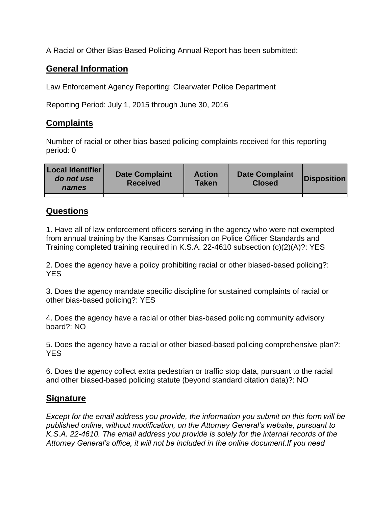A Racial or Other Bias-Based Policing Annual Report has been submitted:

## **General Information**

Law Enforcement Agency Reporting: Clearwater Police Department

Reporting Period: July 1, 2015 through June 30, 2016

## **Complaints**

Number of racial or other bias-based policing complaints received for this reporting period: 0

| <b>Local Identifier</b><br>do not use<br>names | <b>Date Complaint</b><br><b>Received</b> | <b>Action</b><br><b>Taken</b> | <b>Date Complaint</b><br><b>Closed</b> | Disposition |
|------------------------------------------------|------------------------------------------|-------------------------------|----------------------------------------|-------------|
|                                                |                                          |                               |                                        |             |

## **Questions**

1. Have all of law enforcement officers serving in the agency who were not exempted from annual training by the Kansas Commission on Police Officer Standards and Training completed training required in K.S.A. 22-4610 subsection (c)(2)(A)?: YES

2. Does the agency have a policy prohibiting racial or other biased-based policing?: YES

3. Does the agency mandate specific discipline for sustained complaints of racial or other bias-based policing?: YES

4. Does the agency have a racial or other bias-based policing community advisory board?: NO

5. Does the agency have a racial or other biased-based policing comprehensive plan?: YES

6. Does the agency collect extra pedestrian or traffic stop data, pursuant to the racial and other biased-based policing statute (beyond standard citation data)?: NO

## **Signature**

*Except for the email address you provide, the information you submit on this form will be published online, without modification, on the Attorney General's website, pursuant to K.S.A. 22-4610. The email address you provide is solely for the internal records of the Attorney General's office, it will not be included in the online document.If you need*